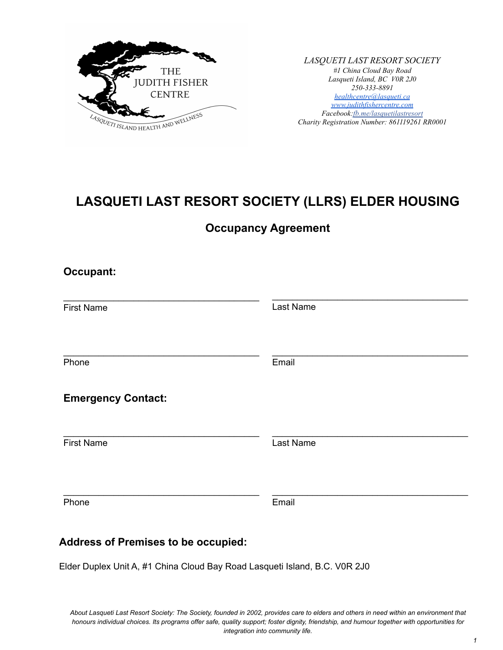

*LASQUETI LAST RESORT SOCIETY #1 China Cloud Bay Road Lasqueti Island, BC V0R 2J0 250-333-8891 [healthcentre@lasqueti.ca](mailto:healthcentre@lasqueti.ca) [www.judithfishercentre.com](http://www.judithfishercentre.com) Facebook[:fb.me/lasquetilastresort](https://fb.me/lasquetilastresort) Charity Registration Number: 861119261 RR0001*

# **LASQUETI LAST RESORT SOCIETY (LLRS) ELDER HOUSING**

**Occupancy Agreement**

| <b>Occupant:</b>                           |           |
|--------------------------------------------|-----------|
| <b>First Name</b>                          | Last Name |
| Phone                                      | Email     |
| <b>Emergency Contact:</b>                  |           |
| <b>First Name</b>                          | Last Name |
| Phone                                      | Email     |
| <b>Address of Premises to be occupied:</b> |           |

Elder Duplex Unit A, #1 China Cloud Bay Road Lasqueti Island, B.C. V0R 2J0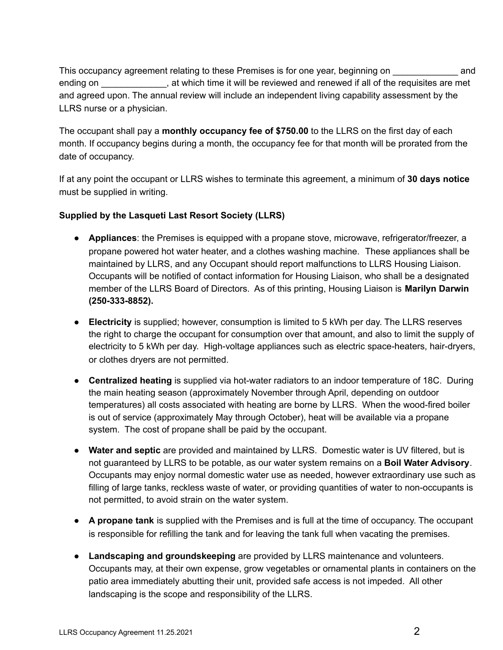This occupancy agreement relating to these Premises is for one year, beginning on \_\_\_\_\_\_\_\_\_\_\_\_\_ and ending on  $\Box$ , at which time it will be reviewed and renewed if all of the requisites are met and agreed upon. The annual review will include an independent living capability assessment by the LLRS nurse or a physician.

The occupant shall pay a **monthly occupancy fee of \$750.00** to the LLRS on the first day of each month. If occupancy begins during a month, the occupancy fee for that month will be prorated from the date of occupancy.

If at any point the occupant or LLRS wishes to terminate this agreement, a minimum of **30 days notice** must be supplied in writing.

### **Supplied by the Lasqueti Last Resort Society (LLRS)**

- **Appliances**: the Premises is equipped with a propane stove, microwave, refrigerator/freezer, a propane powered hot water heater, and a clothes washing machine. These appliances shall be maintained by LLRS, and any Occupant should report malfunctions to LLRS Housing Liaison. Occupants will be notified of contact information for Housing Liaison, who shall be a designated member of the LLRS Board of Directors. As of this printing, Housing Liaison is **Marilyn Darwin (250-333-8852).**
- **Electricity** is supplied; however, consumption is limited to 5 kWh per day. The LLRS reserves the right to charge the occupant for consumption over that amount, and also to limit the supply of electricity to 5 kWh per day. High-voltage appliances such as electric space-heaters, hair-dryers, or clothes dryers are not permitted.
- **Centralized heating** is supplied via hot-water radiators to an indoor temperature of 18C. During the main heating season (approximately November through April, depending on outdoor temperatures) all costs associated with heating are borne by LLRS. When the wood-fired boiler is out of service (approximately May through October), heat will be available via a propane system. The cost of propane shall be paid by the occupant.
- **Water and septic** are provided and maintained by LLRS. Domestic water is UV filtered, but is not guaranteed by LLRS to be potable, as our water system remains on a **Boil Water Advisory**. Occupants may enjoy normal domestic water use as needed, however extraordinary use such as filling of large tanks, reckless waste of water, or providing quantities of water to non-occupants is not permitted, to avoid strain on the water system.
- **A propane tank** is supplied with the Premises and is full at the time of occupancy. The occupant is responsible for refilling the tank and for leaving the tank full when vacating the premises.
- **Landscaping and groundskeeping** are provided by LLRS maintenance and volunteers. Occupants may, at their own expense, grow vegetables or ornamental plants in containers on the patio area immediately abutting their unit, provided safe access is not impeded. All other landscaping is the scope and responsibility of the LLRS.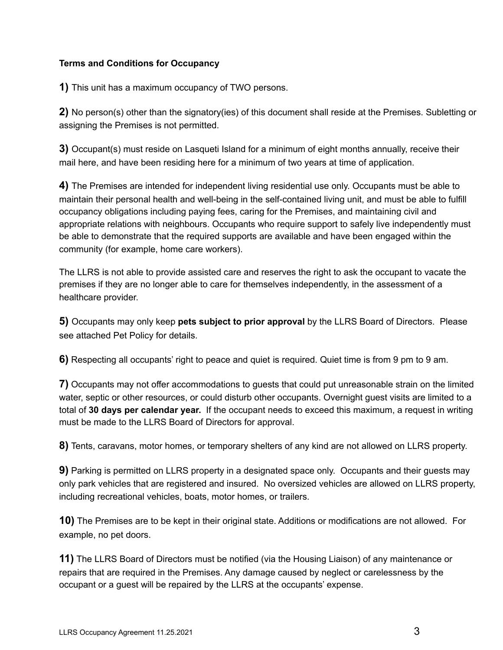### **Terms and Conditions for Occupancy**

**1)** This unit has a maximum occupancy of TWO persons.

**2)** No person(s) other than the signatory(ies) of this document shall reside at the Premises. Subletting or assigning the Premises is not permitted.

**3)** Occupant(s) must reside on Lasqueti Island for a minimum of eight months annually, receive their mail here, and have been residing here for a minimum of two years at time of application.

**4)** The Premises are intended for independent living residential use only. Occupants must be able to maintain their personal health and well-being in the self-contained living unit, and must be able to fulfill occupancy obligations including paying fees, caring for the Premises, and maintaining civil and appropriate relations with neighbours. Occupants who require support to safely live independently must be able to demonstrate that the required supports are available and have been engaged within the community (for example, home care workers).

The LLRS is not able to provide assisted care and reserves the right to ask the occupant to vacate the premises if they are no longer able to care for themselves independently, in the assessment of a healthcare provider.

**5)** Occupants may only keep **pets subject to prior approval** by the LLRS Board of Directors. Please see attached Pet Policy for details.

**6)** Respecting all occupants' right to peace and quiet is required. Quiet time is from 9 pm to 9 am.

**7)** Occupants may not offer accommodations to guests that could put unreasonable strain on the limited water, septic or other resources, or could disturb other occupants. Overnight guest visits are limited to a total of **30 days per calendar year.** If the occupant needs to exceed this maximum, a request in writing must be made to the LLRS Board of Directors for approval.

**8)** Tents, caravans, motor homes, or temporary shelters of any kind are not allowed on LLRS property.

**9)** Parking is permitted on LLRS property in a designated space only. Occupants and their guests may only park vehicles that are registered and insured. No oversized vehicles are allowed on LLRS property, including recreational vehicles, boats, motor homes, or trailers.

**10)** The Premises are to be kept in their original state. Additions or modifications are not allowed. For example, no pet doors.

**11)** The LLRS Board of Directors must be notified (via the Housing Liaison) of any maintenance or repairs that are required in the Premises. Any damage caused by neglect or carelessness by the occupant or a guest will be repaired by the LLRS at the occupants' expense.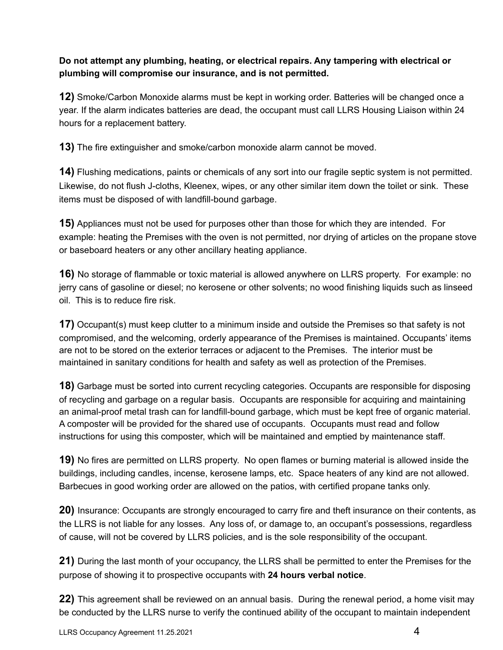### **Do not attempt any plumbing, heating, or electrical repairs. Any tampering with electrical or plumbing will compromise our insurance, and is not permitted.**

**12)** Smoke/Carbon Monoxide alarms must be kept in working order. Batteries will be changed once a year. If the alarm indicates batteries are dead, the occupant must call LLRS Housing Liaison within 24 hours for a replacement battery.

**13)** The fire extinguisher and smoke/carbon monoxide alarm cannot be moved.

**14)** Flushing medications, paints or chemicals of any sort into our fragile septic system is not permitted. Likewise, do not flush J-cloths, Kleenex, wipes, or any other similar item down the toilet or sink. These items must be disposed of with landfill-bound garbage.

**15)** Appliances must not be used for purposes other than those for which they are intended. For example: heating the Premises with the oven is not permitted, nor drying of articles on the propane stove or baseboard heaters or any other ancillary heating appliance.

**16)** No storage of flammable or toxic material is allowed anywhere on LLRS property. For example: no jerry cans of gasoline or diesel; no kerosene or other solvents; no wood finishing liquids such as linseed oil. This is to reduce fire risk.

**17)** Occupant(s) must keep clutter to a minimum inside and outside the Premises so that safety is not compromised, and the welcoming, orderly appearance of the Premises is maintained. Occupants' items are not to be stored on the exterior terraces or adjacent to the Premises. The interior must be maintained in sanitary conditions for health and safety as well as protection of the Premises.

**18)** Garbage must be sorted into current recycling categories. Occupants are responsible for disposing of recycling and garbage on a regular basis. Occupants are responsible for acquiring and maintaining an animal-proof metal trash can for landfill-bound garbage, which must be kept free of organic material. A composter will be provided for the shared use of occupants. Occupants must read and follow instructions for using this composter, which will be maintained and emptied by maintenance staff.

**19)** No fires are permitted on LLRS property. No open flames or burning material is allowed inside the buildings, including candles, incense, kerosene lamps, etc. Space heaters of any kind are not allowed. Barbecues in good working order are allowed on the patios, with certified propane tanks only.

**20)** Insurance: Occupants are strongly encouraged to carry fire and theft insurance on their contents, as the LLRS is not liable for any losses. Any loss of, or damage to, an occupant's possessions, regardless of cause, will not be covered by LLRS policies, and is the sole responsibility of the occupant.

**21)** During the last month of your occupancy, the LLRS shall be permitted to enter the Premises for the purpose of showing it to prospective occupants with **24 hours verbal notice**.

**22)** This agreement shall be reviewed on an annual basis. During the renewal period, a home visit may be conducted by the LLRS nurse to verify the continued ability of the occupant to maintain independent